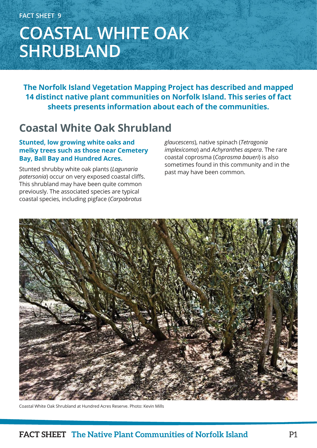# **COASTAL WHITE OAK SHRUBLAND**

**The Norfolk Island Vegetation Mapping Project has described and mapped 14 distinct native plant communities on Norfolk Island. This series of fact sheets presents information about each of the communities.**

### **Coastal White Oak Shrubland**

### **Stunted, low growing white oaks and melky trees such as those near Cemetery Bay, Ball Bay and Hundred Acres.**

Stunted shrubby white oak plants (*Lagunaria patersonia*) occur on very exposed coastal cliffs. This shrubland may have been quite common previously. The associated species are typical coastal species, including pigface (*Carpobrotus* 

*glaucescens*), native spinach (*Tetragonia implexicoma*) and *Achyranthes aspera*. The rare coastal coprosma (*Coprosma baueri*) is also sometimes found in this community and in the past may have been common.



Coastal White Oak Shrubland at Hundred Acres Reserve. Photo: Kevin Mills